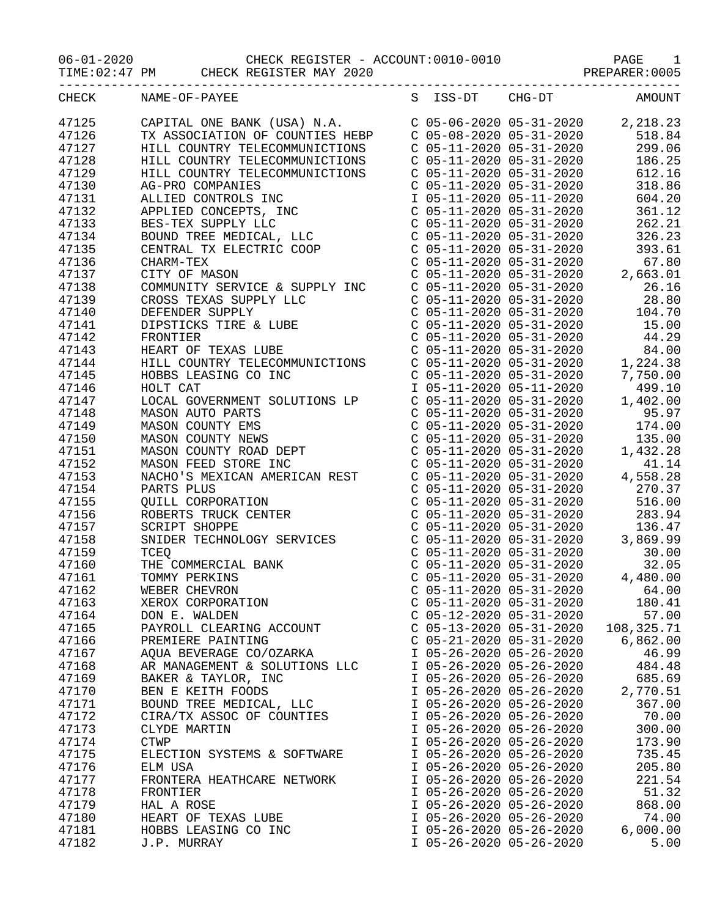06-01-2020 CHECK REGISTER - ACCOUNT:0010-0010 PAGE 1

|                |               | TIME: 02:47 PM CHECK REGISTER MAY 2020                                                                                                                                                                                                                          |                                                        |                                                                                                                                                                                                                                                                                            |
|----------------|---------------|-----------------------------------------------------------------------------------------------------------------------------------------------------------------------------------------------------------------------------------------------------------------|--------------------------------------------------------|--------------------------------------------------------------------------------------------------------------------------------------------------------------------------------------------------------------------------------------------------------------------------------------------|
| CHECK          | NAME-OF-PAYEE |                                                                                                                                                                                                                                                                 |                                                        | S ISS-DT CHG-DT AMOUNT                                                                                                                                                                                                                                                                     |
| 47125          |               | CAPITAL ONE BANK (USA) N.A.<br>TX ASSOCIATION OF COUNTIES HEBP<br>C 05-08-2020 05-31-2020 518.84<br>HILL COUNTRY TELECOMMUNICTIONS C 05-11-2020 05-31-2020 299.06                                                                                               |                                                        |                                                                                                                                                                                                                                                                                            |
| 47126          |               |                                                                                                                                                                                                                                                                 |                                                        |                                                                                                                                                                                                                                                                                            |
| 47127          |               |                                                                                                                                                                                                                                                                 |                                                        |                                                                                                                                                                                                                                                                                            |
| 47128          |               | HILL COUNTRY TELECOMMUNICTIONS C 05-11-2020 05-31-2020                                                                                                                                                                                                          |                                                        | 186.25                                                                                                                                                                                                                                                                                     |
| 47129          |               | HILL COUNTRY TELECOMMUNICTIONS C 05-11-2020 05-31-2020                                                                                                                                                                                                          |                                                        | 612.16                                                                                                                                                                                                                                                                                     |
| 47130          |               |                                                                                                                                                                                                                                                                 | $C$ 05-11-2020 05-31-2020                              | 318.86                                                                                                                                                                                                                                                                                     |
| 47131          |               |                                                                                                                                                                                                                                                                 |                                                        | 604.20                                                                                                                                                                                                                                                                                     |
| 47132          |               |                                                                                                                                                                                                                                                                 |                                                        | 361.12                                                                                                                                                                                                                                                                                     |
| 47133          |               |                                                                                                                                                                                                                                                                 |                                                        | 262.21                                                                                                                                                                                                                                                                                     |
| 47134          |               |                                                                                                                                                                                                                                                                 |                                                        |                                                                                                                                                                                                                                                                                            |
| 47135          |               |                                                                                                                                                                                                                                                                 |                                                        |                                                                                                                                                                                                                                                                                            |
| 47136          |               |                                                                                                                                                                                                                                                                 |                                                        |                                                                                                                                                                                                                                                                                            |
| 47137          |               | AG-PRO COMPANIES<br>AG-PRO COMPANIES<br>ALLIED CONTROLS INC<br>ALLIED CONTROLS INC<br>APPLIED CONTROLS INC<br>APPLIED CONTROLS INC<br>APPLIED CONTROLS INC<br>$\begin{array}{cccccc} 0.5-11-2020 & 0.5-31-2020 & 0.5-31-2020 & 0.5-31-2020 & 0.5-31-2020 & 0.5$ |                                                        |                                                                                                                                                                                                                                                                                            |
| 47138          |               |                                                                                                                                                                                                                                                                 |                                                        |                                                                                                                                                                                                                                                                                            |
| 47139          |               |                                                                                                                                                                                                                                                                 |                                                        |                                                                                                                                                                                                                                                                                            |
| 47140          |               |                                                                                                                                                                                                                                                                 |                                                        |                                                                                                                                                                                                                                                                                            |
| 47141          |               |                                                                                                                                                                                                                                                                 |                                                        |                                                                                                                                                                                                                                                                                            |
| 47142          |               |                                                                                                                                                                                                                                                                 |                                                        |                                                                                                                                                                                                                                                                                            |
| 47143          |               |                                                                                                                                                                                                                                                                 |                                                        |                                                                                                                                                                                                                                                                                            |
| 47144          |               |                                                                                                                                                                                                                                                                 |                                                        |                                                                                                                                                                                                                                                                                            |
| 47145          |               | HOBBS LEASING CO INC                                                                                                                                                                                                                                            |                                                        | $C$ 05-11-2020 05-31-2020 7,750.00                                                                                                                                                                                                                                                         |
| 47146          | HOLT CAT      |                                                                                                                                                                                                                                                                 |                                                        |                                                                                                                                                                                                                                                                                            |
| 47147          |               |                                                                                                                                                                                                                                                                 |                                                        | 1 05-11-2020 05-11-2020<br>C 05-11-2020 05-31-2020<br>C 05-11-2020 05-31-2020<br>C 05-11-2020 05-31-2020<br>C 05-11-2020 05-31-2020<br>174.00                                                                                                                                              |
| 47148          |               |                                                                                                                                                                                                                                                                 |                                                        |                                                                                                                                                                                                                                                                                            |
| 47149          |               |                                                                                                                                                                                                                                                                 |                                                        |                                                                                                                                                                                                                                                                                            |
| 47150          |               |                                                                                                                                                                                                                                                                 | $C$ 05-11-2020 05-31-2020                              | 135.00                                                                                                                                                                                                                                                                                     |
| 47151          |               |                                                                                                                                                                                                                                                                 |                                                        | 1,432.28                                                                                                                                                                                                                                                                                   |
| 47152          |               |                                                                                                                                                                                                                                                                 |                                                        | $\begin{array}{cccc} \text{C} & 05\text{--}11\text{--}2020 & 05\text{--}31\text{--}2020 & & 41.14 \\ \text{C} & 05\text{--}11\text{--}2020 & 05\text{--}31\text{--}2020 & & 4\text{--}558.28 \\ \text{C} & 05\text{--}11\text{--}2020 & 05\text{--}31\text{--}2020 & & 270.37 \end{array}$ |
| 47153          |               |                                                                                                                                                                                                                                                                 |                                                        |                                                                                                                                                                                                                                                                                            |
| 47154          |               |                                                                                                                                                                                                                                                                 |                                                        |                                                                                                                                                                                                                                                                                            |
| 47155          |               |                                                                                                                                                                                                                                                                 | $C$ 05-11-2020 05-31-2020                              | 516.00                                                                                                                                                                                                                                                                                     |
| 47156          |               |                                                                                                                                                                                                                                                                 | C 05-11-2020 05-31-2020                                | 283.94                                                                                                                                                                                                                                                                                     |
| 47157          |               |                                                                                                                                                                                                                                                                 |                                                        | $\begin{array}{llllll} \mbox{C} & 05-11-2020 & 05-31-2020 & 136.47 \\ \mbox{C} & 05-11-2020 & 05-31-2020 & 3\,, 869.99 \\ \mbox{C} & 05-11-2020 & 05-31-2020 & 30.00 \\ \mbox{C} & 05-11-2020 & 05-31-2020 & 32.05 \\ \end{array}$                                                         |
| 47158          |               |                                                                                                                                                                                                                                                                 |                                                        |                                                                                                                                                                                                                                                                                            |
| 47159          | TCEQ          |                                                                                                                                                                                                                                                                 |                                                        |                                                                                                                                                                                                                                                                                            |
| 47160          |               | THE COMMERCIAL BANK                                                                                                                                                                                                                                             | $C$ 05-11-2020 05-31-2020                              |                                                                                                                                                                                                                                                                                            |
| 47161          | TOMMY PERKINS |                                                                                                                                                                                                                                                                 |                                                        | 4,480.00                                                                                                                                                                                                                                                                                   |
| 47162          | WEBER CHEVRON |                                                                                                                                                                                                                                                                 | $C$ 05-11-2020 05-31-2020<br>$C$ 05-11-2020 05-31-2020 | 64.00                                                                                                                                                                                                                                                                                      |
| 47163<br>47164 | DON E. WALDEN | XEROX CORPORATION                                                                                                                                                                                                                                               | $C$ 05-12-2020 05-31-2020                              | 180.41<br>57.00                                                                                                                                                                                                                                                                            |
| 47165          |               | PAYROLL CLEARING ACCOUNT                                                                                                                                                                                                                                        | $C$ 05-13-2020 05-31-2020                              | 108, 325. 71                                                                                                                                                                                                                                                                               |
| 47166          |               | PREMIERE PAINTING                                                                                                                                                                                                                                               | $C$ 05-21-2020 05-31-2020                              | 6,862.00                                                                                                                                                                                                                                                                                   |
| 47167          |               | AQUA BEVERAGE CO/OZARKA                                                                                                                                                                                                                                         | I 05-26-2020 05-26-2020                                | 46.99                                                                                                                                                                                                                                                                                      |
| 47168          |               | AR MANAGEMENT & SOLUTIONS LLC                                                                                                                                                                                                                                   | I 05-26-2020 05-26-2020                                | 484.48                                                                                                                                                                                                                                                                                     |
| 47169          |               | BAKER & TAYLOR, INC                                                                                                                                                                                                                                             | I 05-26-2020 05-26-2020                                | 685.69                                                                                                                                                                                                                                                                                     |
| 47170          |               | BEN E KEITH FOODS                                                                                                                                                                                                                                               | I 05-26-2020 05-26-2020                                | 2,770.51                                                                                                                                                                                                                                                                                   |
| 47171          |               | BOUND TREE MEDICAL, LLC                                                                                                                                                                                                                                         | I 05-26-2020 05-26-2020                                | 367.00                                                                                                                                                                                                                                                                                     |
| 47172          |               | CIRA/TX ASSOC OF COUNTIES                                                                                                                                                                                                                                       | I 05-26-2020 05-26-2020                                | 70.00                                                                                                                                                                                                                                                                                      |
| 47173          | CLYDE MARTIN  |                                                                                                                                                                                                                                                                 | I 05-26-2020 05-26-2020                                | 300.00                                                                                                                                                                                                                                                                                     |
| 47174          | <b>CTWP</b>   |                                                                                                                                                                                                                                                                 | I 05-26-2020 05-26-2020                                | 173.90                                                                                                                                                                                                                                                                                     |
| 47175          |               | ELECTION SYSTEMS & SOFTWARE                                                                                                                                                                                                                                     | I 05-26-2020 05-26-2020                                | 735.45                                                                                                                                                                                                                                                                                     |
| 47176          | ELM USA       |                                                                                                                                                                                                                                                                 | I 05-26-2020 05-26-2020                                | 205.80                                                                                                                                                                                                                                                                                     |
| 47177          |               | FRONTERA HEATHCARE NETWORK                                                                                                                                                                                                                                      | I 05-26-2020 05-26-2020                                | 221.54                                                                                                                                                                                                                                                                                     |
| 47178          | FRONTIER      |                                                                                                                                                                                                                                                                 | I 05-26-2020 05-26-2020                                | 51.32                                                                                                                                                                                                                                                                                      |
| 47179          | HAL A ROSE    |                                                                                                                                                                                                                                                                 | I 05-26-2020 05-26-2020                                | 868.00                                                                                                                                                                                                                                                                                     |
| 47180          |               | HEART OF TEXAS LUBE                                                                                                                                                                                                                                             | I 05-26-2020 05-26-2020                                | 74.00                                                                                                                                                                                                                                                                                      |
| 47181          |               | HOBBS LEASING CO INC                                                                                                                                                                                                                                            | I 05-26-2020 05-26-2020                                | 6,000.00                                                                                                                                                                                                                                                                                   |
| 47182          | J.P. MURRAY   |                                                                                                                                                                                                                                                                 | I 05-26-2020 05-26-2020                                | 5.00                                                                                                                                                                                                                                                                                       |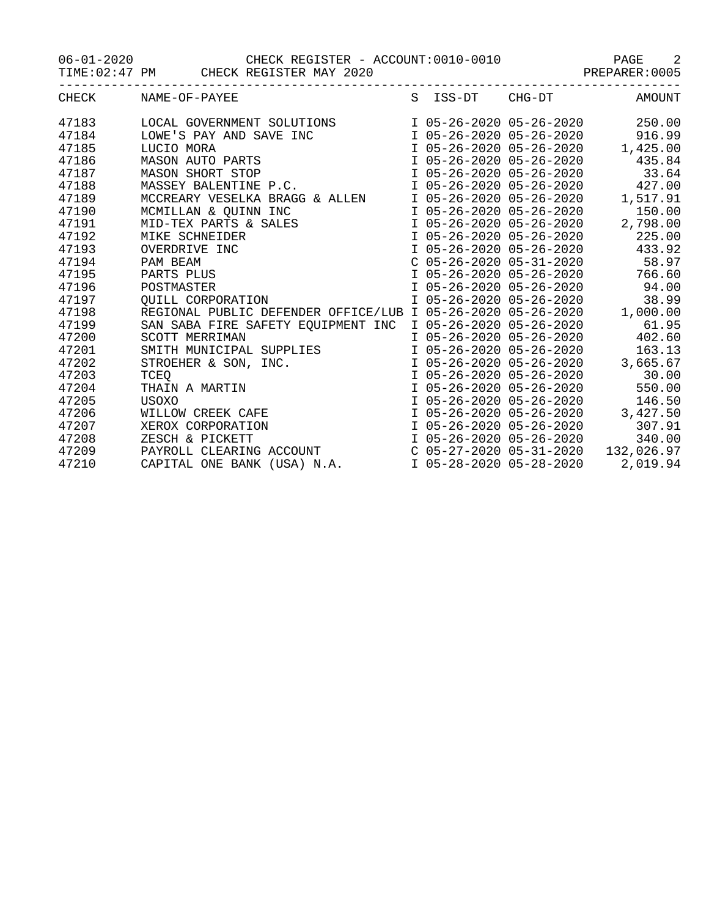06-01-2020 CHECK REGISTER - ACCOUNT:0010-0010 PAGE 2

TIME:02:47 PM CHECK REGISTER MAY 2020 PREPARER:0005

|       | CHECK NAME-OF-PAYEE                                                                                                                                                                                                                                  |  | S ISS-DT CHG-DT AMOUNT                                |          |
|-------|------------------------------------------------------------------------------------------------------------------------------------------------------------------------------------------------------------------------------------------------------|--|-------------------------------------------------------|----------|
| 47183 | LOCAL GOVERNMENT SOLUTIONS                                                                                                                                                                                                                           |  | I 05-26-2020 05-26-2020 250.00                        |          |
| 47184 |                                                                                                                                                                                                                                                      |  |                                                       |          |
| 47185 |                                                                                                                                                                                                                                                      |  | I 05-26-2020 05-26-2020<br>I 05-26-2020 05-26-2020 1, |          |
| 47186 |                                                                                                                                                                                                                                                      |  |                                                       |          |
| 47187 | 1 05-26-2020 05-26-2020<br>LUCIO MORA<br>MASON AUTO PARTS<br>MASON SHORT STOP<br>MASSEY BALENTINE P.C.<br>TOS-26-2020 05-26-2020<br>TOS-26-2020 05-26-2020<br>TOS-26-2020 05-26-2020<br>TOS-26-2020 05-26-2020<br>TOS-26-2020<br>TOS-26-2020<br>TOS- |  |                                                       |          |
| 47188 |                                                                                                                                                                                                                                                      |  |                                                       |          |
| 47189 |                                                                                                                                                                                                                                                      |  | I 05-26-2020 05-26-2020                               | 1,517.91 |
| 47190 |                                                                                                                                                                                                                                                      |  | I 05-26-2020 05-26-2020                               | 150.00   |
| 47191 |                                                                                                                                                                                                                                                      |  | $I$ 05-26-2020 05-26-2020 2,798.00                    |          |
| 47192 |                                                                                                                                                                                                                                                      |  | I 05-26-2020 05-26-2020                               | 225.00   |
| 47193 |                                                                                                                                                                                                                                                      |  | I 05-26-2020 05-26-2020 433.92                        |          |
| 47194 | MASSEI BALENTINE P.C.<br>MCCREARY VESELKA BRAGG & ALLEN<br>MCMILLAN & QUINN INC<br>MID-TEX PARTS & SALES<br>MIKE SCHNEIDER<br>OVERDRIVE INC<br>PAM BEAM<br>PARTS PLUS<br>POSTMASTER<br>QUILL CORPORATION<br>DECIONATER                               |  | C 05-26-2020 05-31-2020 58.97                         |          |
| 47195 |                                                                                                                                                                                                                                                      |  | I 05-26-2020 05-26-2020 766.60                        |          |
| 47196 |                                                                                                                                                                                                                                                      |  | I 05-26-2020 05-26-2020 94.00                         |          |
| 47197 |                                                                                                                                                                                                                                                      |  | I 05-26-2020 05-26-2020                               | 38.99    |
| 47198 | REGIONAL PUBLIC DEFENDER OFFICE/LUB I 05-26-2020 05-26-2020                                                                                                                                                                                          |  |                                                       | 1,000.00 |
| 47199 | SAN SABA FIRE SAFETY EQUIPMENT INC I 05-26-2020 05-26-2020 61.95                                                                                                                                                                                     |  |                                                       |          |
| 47200 | SCOTT MERRIMAN                                                                                                                                                                                                                                       |  | I 05-26-2020 05-26-2020 402.60                        |          |
| 47201 |                                                                                                                                                                                                                                                      |  | I 05-26-2020 05-26-2020                               | 163.13   |
| 47202 |                                                                                                                                                                                                                                                      |  | I 05-26-2020 05-26-2020                               | 3,665.67 |
| 47203 | SCOTT MERRIMAN<br>SMITH MUNICIPAL SUPPLIES<br>STROEHER & SON, INC.<br>TCEQ<br>THAIN A MARTIN<br>USOXO                                                                                                                                                |  | I 05-26-2020 05-26-2020 30.00                         |          |
| 47204 |                                                                                                                                                                                                                                                      |  | I 05-26-2020 05-26-2020                               | 550.00   |
| 47205 | USOXO<br>WILLOW CREEK CAFE<br>XEROX CORPORATION<br>7FSCH & PICKETT                                                                                                                                                                                   |  | I 05-26-2020 05-26-2020                               | 146.50   |
| 47206 |                                                                                                                                                                                                                                                      |  | I 05-26-2020 05-26-2020 3,427.50                      |          |
| 47207 |                                                                                                                                                                                                                                                      |  | I 05-26-2020 05-26-2020                               | 307.91   |
| 47208 |                                                                                                                                                                                                                                                      |  | I 05-26-2020 05-26-2020                               | 340.00   |
| 47209 | PAYROLL CLEARING ACCOUNT C 05-27-2020 05-31-2020 132,026.97                                                                                                                                                                                          |  |                                                       |          |
| 47210 | CAPITAL ONE BANK (USA) N.A.                                                                                                                                                                                                                          |  | I 05-28-2020 05-28-2020                               | 2,019.94 |